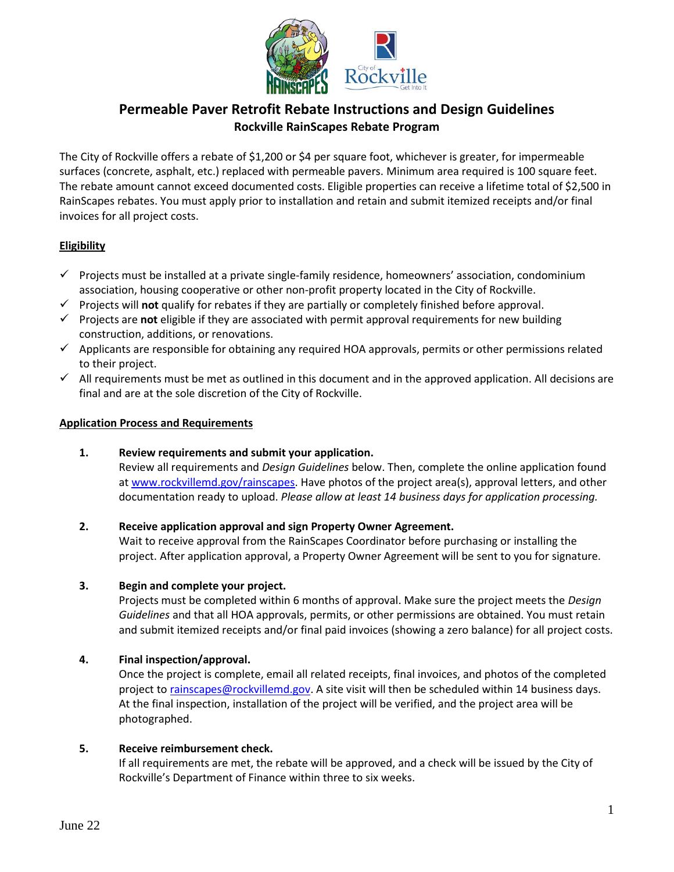

# **Permeable Paver Retrofit Rebate Instructions and Design Guidelines Rockville RainScapes Rebate Program**

The City of Rockville offers a rebate of \$1,200 or \$4 per square foot, whichever is greater, for impermeable surfaces (concrete, asphalt, etc.) replaced with permeable pavers. Minimum area required is 100 square feet. The rebate amount cannot exceed documented costs. Eligible properties can receive a lifetime total of \$2,500 in RainScapes rebates. You must apply prior to installation and retain and submit itemized receipts and/or final invoices for all project costs.

## **Eligibility**

- $\checkmark$  Projects must be installed at a private single-family residence, homeowners' association, condominium association, housing cooperative or other non-profit property located in the City of Rockville.
- ✓ Projects will **not** qualify for rebates if they are partially or completely finished before approval.
- ✓ Projects are **not** eligible if they are associated with permit approval requirements for new building construction, additions, or renovations.
- ✓ Applicants are responsible for obtaining any required HOA approvals, permits or other permissions related to their project.
- $\checkmark$  All requirements must be met as outlined in this document and in the approved application. All decisions are final and are at the sole discretion of the City of Rockville.

#### **Application Process and Requirements**

## **1. Review requirements and submit your application.**

Review all requirements and *Design Guidelines* below. Then, complete the online application found a[t www.rockvillemd.gov/rainscapes.](file://///files/shares/environment%20division/Env_Mgmt/04%20-%20Water%20Resources%20and%20Watershed%20Protection/RainScapes/2%20-%20Rainbarrels/2%20-%20Application%20materials%20(blank)/www.rockvillemd.gov/rainscapes) Have photos of the project area(s), approval letters, and other documentation ready to upload. *Please allow at least 14 business days for application processing.*

#### **2. Receive application approval and sign Property Owner Agreement.**

Wait to receive approval from the RainScapes Coordinator before purchasing or installing the project. After application approval, a Property Owner Agreement will be sent to you for signature.

#### **3. Begin and complete your project.**

Projects must be completed within 6 months of approval. Make sure the project meets the *Design Guidelines* and that all HOA approvals, permits, or other permissions are obtained. You must retain and submit itemized receipts and/or final paid invoices (showing a zero balance) for all project costs.

#### **4. Final inspection/approval.**

Once the project is complete, email all related receipts, final invoices, and photos of the completed project to [rainscapes@rockvillemd.gov.](mailto:rainscapes@rockvillemd.gov) A site visit will then be scheduled within 14 business days. At the final inspection, installation of the project will be verified, and the project area will be photographed.

#### **5. Receive reimbursement check.**

If all requirements are met, the rebate will be approved, and a check will be issued by the City of Rockville's Department of Finance within three to six weeks.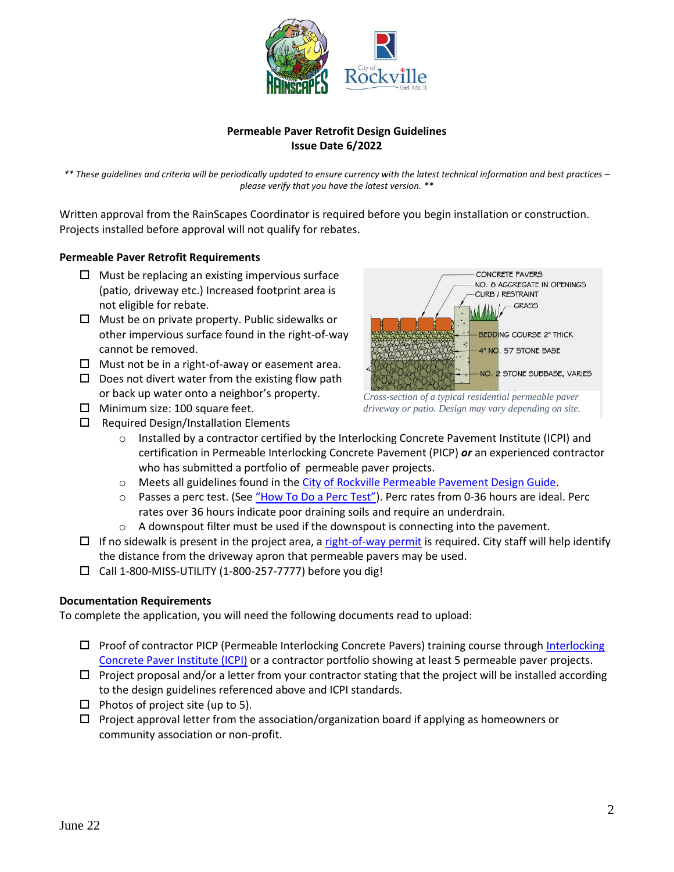

### **Permeable Paver Retrofit Design Guidelines Issue Date 6/2022**

*\*\* These guidelines and criteria will be periodically updated to ensure currency with the latest technical information and best practices – please verify that you have the latest version. \*\**

Written approval from the RainScapes Coordinator is required before you begin installation or construction. Projects installed before approval will not qualify for rebates.

#### **Permeable Paver Retrofit Requirements**

- $\Box$  Must be replacing an existing impervious surface (patio, driveway etc.) Increased footprint area is not eligible for rebate.
- $\Box$  Must be on private property. Public sidewalks or other impervious surface found in the right-of-way cannot be removed.
- $\Box$  Must not be in a right-of-away or easement area.
- $\square$  Does not divert water from the existing flow path or back up water onto a neighbor's property.
- $\Box$  Minimum size: 100 square feet.
- $\square$  Required Design/Installation Elements



*Cross-section of a typical residential permeable paver driveway or patio. Design may vary depending on site.*

- o Installed by a contractor certified by the Interlocking Concrete Pavement Institute (ICPI) and certification in Permeable Interlocking Concrete Pavement (PICP) *or* an experienced contractor who has submitted a portfolio of permeable paver projects.
- o Meets all guidelines found in the [City of Rockville Permeable Pavement](https://www.rockvillemd.gov/DocumentCenter/View/33475/Permeable-Pavement-Design-Guide) Design Guide.
- o Passes a perc test. (See ["How To Do a Perc Test"](https://www.montgomerycountymd.gov/DEP/Resources/Files/downloads/rainscapes/How-To-Do-a-Perc-Test.pdf)). Perc rates from 0-36 hours are ideal. Perc rates over 36 hours indicate poor draining soils and require an underdrain.
- $\circ$  A downspout filter must be used if the downspout is connecting into the pavement.
- $\Box$  If no sidewalk is present in the project area, [a right-of-way permit](https://www.rockvillemd.gov/2374/Public-Works-Permit-Protection-of-Right-) is required. City staff will help identify the distance from the driveway apron that permeable pavers may be used.
- $\square$  Call 1-800-MISS-UTILITY (1-800-257-7777) before you dig!

#### **Documentation Requirements**

To complete the application, you will need the following documents read to upload:

- $\Box$  Proof of contractor PICP (Permeable [Interlocking](https://icpi.org/) Concrete Pavers) training course through Interlocking [Concrete Paver Institute \(ICPI\)](https://icpi.org/) or a contractor portfolio showing at least 5 permeable paver projects.
- $\Box$  Project proposal and/or a letter from your contractor stating that the project will be installed according to the design guidelines referenced above and ICPI standards.
- $\Box$  Photos of project site (up to 5).
- $\Box$  Project approval letter from the association/organization board if applying as homeowners or community association or non-profit.